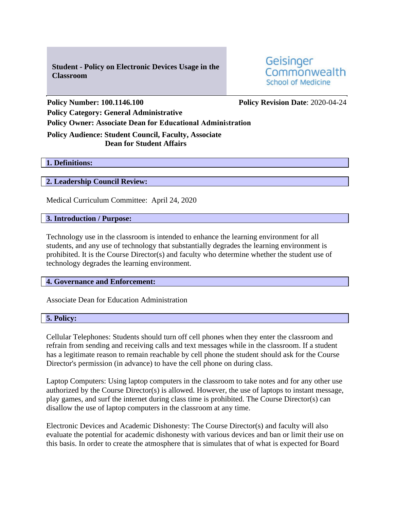**Student - Policy on Electronic Devices Usage in the Classroom** 

Geisinger Commonwealth **School of Medicine** 

**Policy Number: 100.1146.100 Policy Revision Date**: 2020-04-24 **Policy Category: General Administrative Policy Owner: Associate Dean for Educational Administration**

# **Policy Audience: Student Council, Faculty, Associate Dean for Student Affairs**

### **1. Definitions:**

## **2. Leadership Council Review:**

Medical Curriculum Committee: April 24, 2020

#### **3. Introduction / Purpose:**

Technology use in the classroom is intended to enhance the learning environment for all students, and any use of technology that substantially degrades the learning environment is prohibited. It is the Course Director(s) and faculty who determine whether the student use of technology degrades the learning environment.

#### **4. Governance and Enforcement:**

Associate Dean for Education Administration

## **5. Policy:**

Cellular Telephones: Students should turn off cell phones when they enter the classroom and refrain from sending and receiving calls and text messages while in the classroom. If a student has a legitimate reason to remain reachable by cell phone the student should ask for the Course Director's permission (in advance) to have the cell phone on during class.

Laptop Computers: Using laptop computers in the classroom to take notes and for any other use authorized by the Course Director(s) is allowed. However, the use of laptops to instant message, play games, and surf the internet during class time is prohibited. The Course Director(s) can disallow the use of laptop computers in the classroom at any time.

Electronic Devices and Academic Dishonesty: The Course Director(s) and faculty will also evaluate the potential for academic dishonesty with various devices and ban or limit their use on this basis. In order to create the atmosphere that is simulates that of what is expected for Board